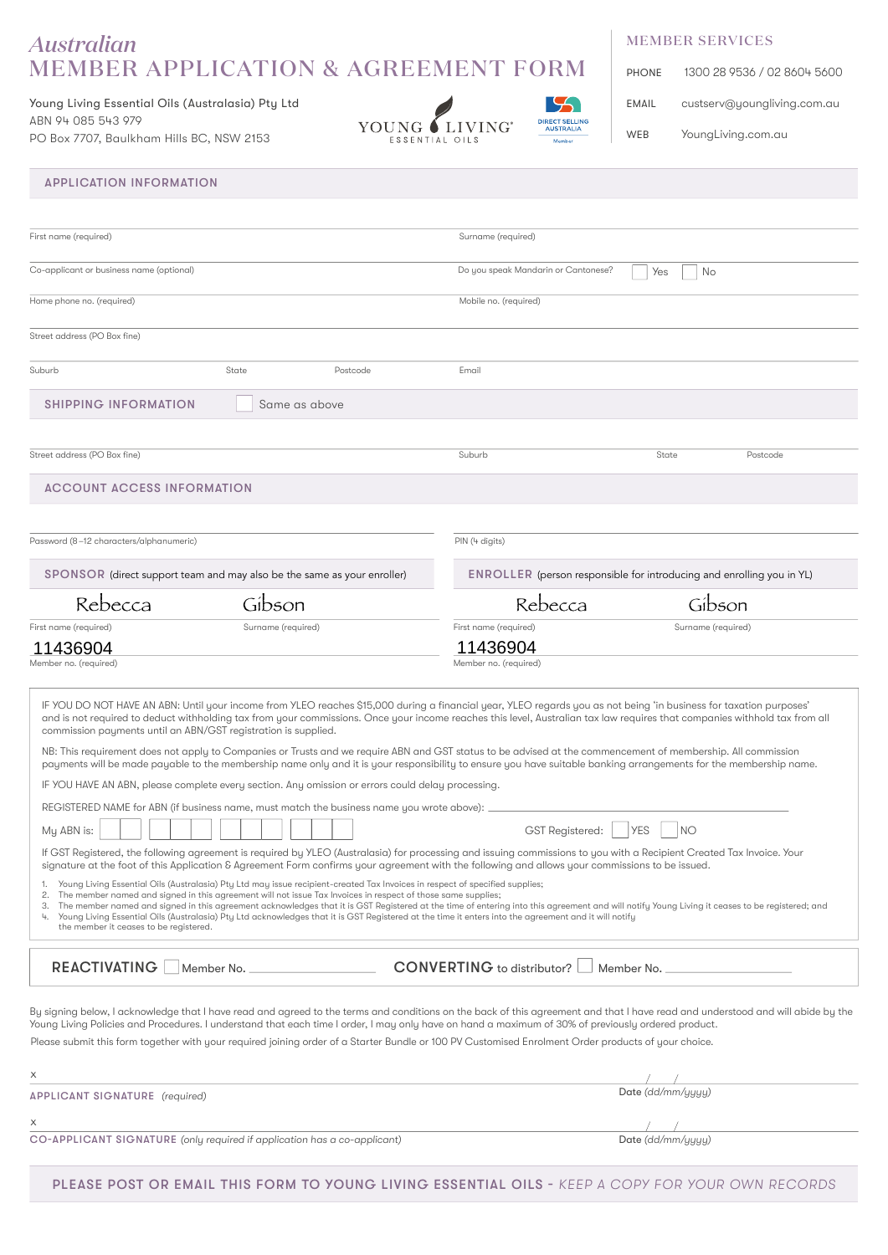## *Australian* MEMBER APPLICATION & AGREEMENT FORM

Young Living Essential Oils (Australasia) Pty Ltd ABN 94 085 543 979 PO Box 7707, Baulkham Hills BC, NSW 2153



## MEMBER SERVICES

| <b>PHONE</b> | 1300 28 9536 / 02 8604 5600 |
|--------------|-----------------------------|
| EMAIL        | custserv@youngliving.com.au |
| <b>WEB</b>   | YoungLiving.com.au          |

### APPLICATION INFORMATION

| First name (required)<br>Surname (required)<br>Co-applicant or business name (optional)<br>Do you speak Mandarin or Cantonese?<br>Yes<br>No<br>Home phone no. (required)<br>Mobile no. (required)<br>Street address (PO Box fine)<br>Suburb<br>State<br>Postcode<br>Email<br><b>SHIPPING INFORMATION</b><br>Same as above<br>Suburb<br>State<br>Postcode<br><b>ACCOUNT ACCESS INFORMATION</b><br>PIN (4 digits)<br>ENROLLER (person responsible for introducing and enrolling you in YL)<br>SPONSOR (direct support team and may also be the same as your enroller)<br>Rebecca<br>Rebecca<br>Gibson<br>Gibson<br>First name (required)<br>Surname (required)<br>Surname (required)<br>11436904<br>11436904<br>Member no. (required)<br>IF YOU DO NOT HAVE AN ABN: Until your income from YLEO reaches \$15,000 during a financial year, YLEO regards you as not being 'in business for taxation purposes'<br>and is not required to deduct withholding tax from your commissions. Once your income reaches this level, Australian tax law requires that companies withhold tax from all<br>commission payments until an ABN/GST registration is supplied.<br>NB: This requirement does not apply to Companies or Trusts and we require ABN and GST status to be advised at the commencement of membership. All commission<br>payments will be made payable to the membership name only and it is your responsibility to ensure you have suitable banking arrangements for the membership name.<br>IF YOU HAVE AN ABN, please complete every section. Any omission or errors could delay processing.<br>REGISTERED NAME for ABN (if business name, must match the business name you wrote above):<br><b>YES</b><br>GST Registered:<br><b>NO</b><br>My ABN is:<br>If GST Registered, the following agreement is required by YLEO (Australasia) for processing and issuing commissions to you with a Recipient Created Tax Invoice. Your<br>signature at the foot of this Application & Agreement Form confirms your agreement with the following and allows your commissions to be issued.<br>Young Living Essential Oils (Australasia) Pty Ltd may issue recipient-created Tax Invoices in respect of specified supplies;<br>2. The member named and signed in this agreement will not issue Tax Invoices in respect of those same supplies;<br>3. The member named and signed in this agreement acknowledges that it is GST Registered at the time of entering into this agreement and will notify Young Living it ceases to be registered; and<br>4. Young Living Essential Oils (Australasia) Pty Ltd acknowledges that it is GST Registered at the time it enters into the agreement and it will notify<br>the member it ceases to be registered. |                                     |                                                 |
|------------------------------------------------------------------------------------------------------------------------------------------------------------------------------------------------------------------------------------------------------------------------------------------------------------------------------------------------------------------------------------------------------------------------------------------------------------------------------------------------------------------------------------------------------------------------------------------------------------------------------------------------------------------------------------------------------------------------------------------------------------------------------------------------------------------------------------------------------------------------------------------------------------------------------------------------------------------------------------------------------------------------------------------------------------------------------------------------------------------------------------------------------------------------------------------------------------------------------------------------------------------------------------------------------------------------------------------------------------------------------------------------------------------------------------------------------------------------------------------------------------------------------------------------------------------------------------------------------------------------------------------------------------------------------------------------------------------------------------------------------------------------------------------------------------------------------------------------------------------------------------------------------------------------------------------------------------------------------------------------------------------------------------------------------------------------------------------------------------------------------------------------------------------------------------------------------------------------------------------------------------------------------------------------------------------------------------------------------------------------------------------------------------------------------------------------------------------------------------------------------------------------------------------------------------------------------------------------------------------------------------------------------------------------------------------------------------------------------------------------------|-------------------------------------|-------------------------------------------------|
|                                                                                                                                                                                                                                                                                                                                                                                                                                                                                                                                                                                                                                                                                                                                                                                                                                                                                                                                                                                                                                                                                                                                                                                                                                                                                                                                                                                                                                                                                                                                                                                                                                                                                                                                                                                                                                                                                                                                                                                                                                                                                                                                                                                                                                                                                                                                                                                                                                                                                                                                                                                                                                                                                                                                                      |                                     |                                                 |
|                                                                                                                                                                                                                                                                                                                                                                                                                                                                                                                                                                                                                                                                                                                                                                                                                                                                                                                                                                                                                                                                                                                                                                                                                                                                                                                                                                                                                                                                                                                                                                                                                                                                                                                                                                                                                                                                                                                                                                                                                                                                                                                                                                                                                                                                                                                                                                                                                                                                                                                                                                                                                                                                                                                                                      |                                     |                                                 |
|                                                                                                                                                                                                                                                                                                                                                                                                                                                                                                                                                                                                                                                                                                                                                                                                                                                                                                                                                                                                                                                                                                                                                                                                                                                                                                                                                                                                                                                                                                                                                                                                                                                                                                                                                                                                                                                                                                                                                                                                                                                                                                                                                                                                                                                                                                                                                                                                                                                                                                                                                                                                                                                                                                                                                      |                                     |                                                 |
|                                                                                                                                                                                                                                                                                                                                                                                                                                                                                                                                                                                                                                                                                                                                                                                                                                                                                                                                                                                                                                                                                                                                                                                                                                                                                                                                                                                                                                                                                                                                                                                                                                                                                                                                                                                                                                                                                                                                                                                                                                                                                                                                                                                                                                                                                                                                                                                                                                                                                                                                                                                                                                                                                                                                                      |                                     |                                                 |
|                                                                                                                                                                                                                                                                                                                                                                                                                                                                                                                                                                                                                                                                                                                                                                                                                                                                                                                                                                                                                                                                                                                                                                                                                                                                                                                                                                                                                                                                                                                                                                                                                                                                                                                                                                                                                                                                                                                                                                                                                                                                                                                                                                                                                                                                                                                                                                                                                                                                                                                                                                                                                                                                                                                                                      |                                     |                                                 |
|                                                                                                                                                                                                                                                                                                                                                                                                                                                                                                                                                                                                                                                                                                                                                                                                                                                                                                                                                                                                                                                                                                                                                                                                                                                                                                                                                                                                                                                                                                                                                                                                                                                                                                                                                                                                                                                                                                                                                                                                                                                                                                                                                                                                                                                                                                                                                                                                                                                                                                                                                                                                                                                                                                                                                      |                                     |                                                 |
|                                                                                                                                                                                                                                                                                                                                                                                                                                                                                                                                                                                                                                                                                                                                                                                                                                                                                                                                                                                                                                                                                                                                                                                                                                                                                                                                                                                                                                                                                                                                                                                                                                                                                                                                                                                                                                                                                                                                                                                                                                                                                                                                                                                                                                                                                                                                                                                                                                                                                                                                                                                                                                                                                                                                                      | Street address (PO Box fine)        |                                                 |
| Password (8-12 characters/alphanumeric)<br>First name (required)<br>Member no. (required)                                                                                                                                                                                                                                                                                                                                                                                                                                                                                                                                                                                                                                                                                                                                                                                                                                                                                                                                                                                                                                                                                                                                                                                                                                                                                                                                                                                                                                                                                                                                                                                                                                                                                                                                                                                                                                                                                                                                                                                                                                                                                                                                                                                                                                                                                                                                                                                                                                                                                                                                                                                                                                                            |                                     |                                                 |
|                                                                                                                                                                                                                                                                                                                                                                                                                                                                                                                                                                                                                                                                                                                                                                                                                                                                                                                                                                                                                                                                                                                                                                                                                                                                                                                                                                                                                                                                                                                                                                                                                                                                                                                                                                                                                                                                                                                                                                                                                                                                                                                                                                                                                                                                                                                                                                                                                                                                                                                                                                                                                                                                                                                                                      |                                     |                                                 |
|                                                                                                                                                                                                                                                                                                                                                                                                                                                                                                                                                                                                                                                                                                                                                                                                                                                                                                                                                                                                                                                                                                                                                                                                                                                                                                                                                                                                                                                                                                                                                                                                                                                                                                                                                                                                                                                                                                                                                                                                                                                                                                                                                                                                                                                                                                                                                                                                                                                                                                                                                                                                                                                                                                                                                      |                                     |                                                 |
|                                                                                                                                                                                                                                                                                                                                                                                                                                                                                                                                                                                                                                                                                                                                                                                                                                                                                                                                                                                                                                                                                                                                                                                                                                                                                                                                                                                                                                                                                                                                                                                                                                                                                                                                                                                                                                                                                                                                                                                                                                                                                                                                                                                                                                                                                                                                                                                                                                                                                                                                                                                                                                                                                                                                                      |                                     |                                                 |
|                                                                                                                                                                                                                                                                                                                                                                                                                                                                                                                                                                                                                                                                                                                                                                                                                                                                                                                                                                                                                                                                                                                                                                                                                                                                                                                                                                                                                                                                                                                                                                                                                                                                                                                                                                                                                                                                                                                                                                                                                                                                                                                                                                                                                                                                                                                                                                                                                                                                                                                                                                                                                                                                                                                                                      |                                     |                                                 |
|                                                                                                                                                                                                                                                                                                                                                                                                                                                                                                                                                                                                                                                                                                                                                                                                                                                                                                                                                                                                                                                                                                                                                                                                                                                                                                                                                                                                                                                                                                                                                                                                                                                                                                                                                                                                                                                                                                                                                                                                                                                                                                                                                                                                                                                                                                                                                                                                                                                                                                                                                                                                                                                                                                                                                      |                                     |                                                 |
|                                                                                                                                                                                                                                                                                                                                                                                                                                                                                                                                                                                                                                                                                                                                                                                                                                                                                                                                                                                                                                                                                                                                                                                                                                                                                                                                                                                                                                                                                                                                                                                                                                                                                                                                                                                                                                                                                                                                                                                                                                                                                                                                                                                                                                                                                                                                                                                                                                                                                                                                                                                                                                                                                                                                                      |                                     |                                                 |
|                                                                                                                                                                                                                                                                                                                                                                                                                                                                                                                                                                                                                                                                                                                                                                                                                                                                                                                                                                                                                                                                                                                                                                                                                                                                                                                                                                                                                                                                                                                                                                                                                                                                                                                                                                                                                                                                                                                                                                                                                                                                                                                                                                                                                                                                                                                                                                                                                                                                                                                                                                                                                                                                                                                                                      |                                     |                                                 |
|                                                                                                                                                                                                                                                                                                                                                                                                                                                                                                                                                                                                                                                                                                                                                                                                                                                                                                                                                                                                                                                                                                                                                                                                                                                                                                                                                                                                                                                                                                                                                                                                                                                                                                                                                                                                                                                                                                                                                                                                                                                                                                                                                                                                                                                                                                                                                                                                                                                                                                                                                                                                                                                                                                                                                      | <b>REACTIVATING</b><br>Member No. _ | <b>CONVERTING</b> to distributor?<br>Member No. |

Young Living Policies and Procedures. I understand that each time I order, I may only have on hand a maximum of 30% of previously ordered product. Please submit this form together with your required joining order of a Starter Bundle or 100 PV Customised Enrolment Order products of your choice.

| <b>APPLICANT SIGNATURE</b> (required)                                    | Date (dd/mm/yyyy) |  |
|--------------------------------------------------------------------------|-------------------|--|
|                                                                          |                   |  |
| CO-APPLICANT SIGNATURE (only required if application has a co-applicant) | Date (dd/mm/yyyy) |  |

PLEASE POST OR EMAIL THIS FORM TO YOUNG LIVING ESSENTIAL OILS - KEEP A COPY FOR YOUR OWN RECORDS